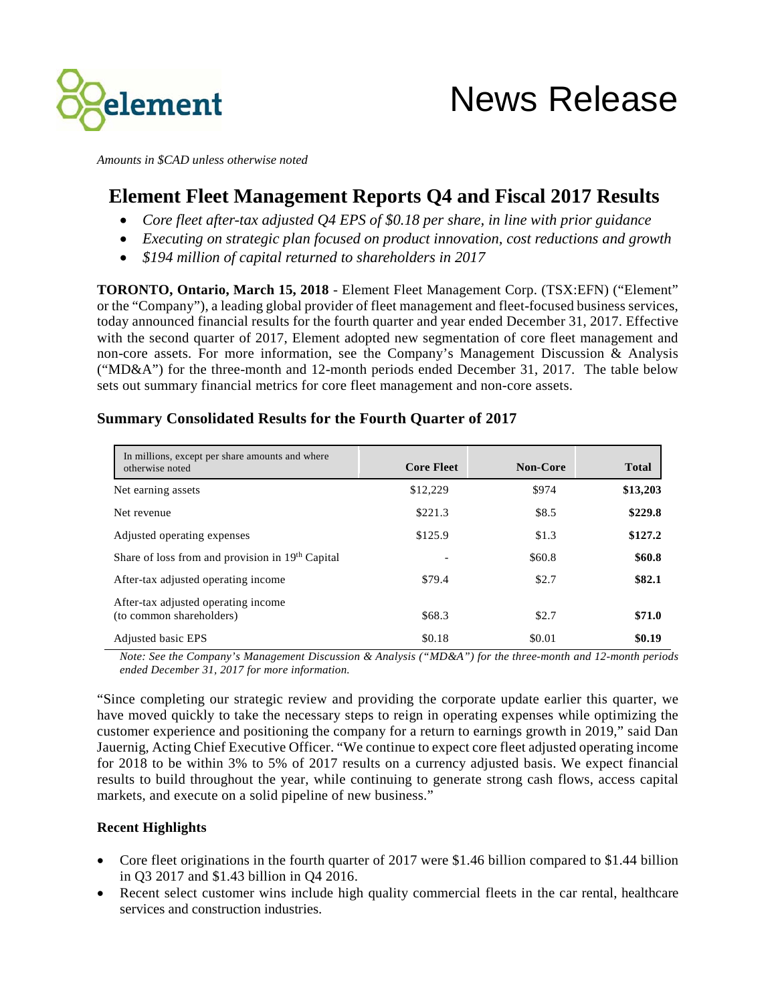

*Amounts in \$CAD unless otherwise noted*

# **Element Fleet Management Reports Q4 and Fiscal 2017 Results**

- *Core fleet after-tax adjusted Q4 EPS of \$0.18 per share, in line with prior guidance*
- *Executing on strategic plan focused on product innovation, cost reductions and growth*
- *\$194 million of capital returned to shareholders in 2017*

**TORONTO, Ontario, March 15, 2018** - Element Fleet Management Corp. (TSX:EFN) ("Element" or the "Company"), a leading global provider of fleet management and fleet-focused business services, today announced financial results for the fourth quarter and year ended December 31, 2017. Effective with the second quarter of 2017, Element adopted new segmentation of core fleet management and non-core assets. For more information, see the Company's Management Discussion & Analysis ("MD&A") for the three-month and 12-month periods ended December 31, 2017. The table below sets out summary financial metrics for core fleet management and non-core assets.

| In millions, except per share amounts and where<br>otherwise noted | <b>Core Fleet</b> | <b>Non-Core</b> | <b>Total</b> |
|--------------------------------------------------------------------|-------------------|-----------------|--------------|
| Net earning assets                                                 | \$12,229          | \$974           | \$13,203     |
| Net revenue                                                        | \$221.3           | \$8.5           | \$229.8      |
| Adjusted operating expenses                                        | \$125.9           | \$1.3           | \$127.2      |
| Share of loss from and provision in 19th Capital                   |                   | \$60.8          | \$60.8       |
| After-tax adjusted operating income                                | \$79.4            | \$2.7           | \$82.1       |
| After-tax adjusted operating income.<br>(to common shareholders)   | \$68.3            | \$2.7           | \$71.0       |
| Adjusted basic EPS                                                 | \$0.18            | \$0.01          | \$0.19       |

# **Summary Consolidated Results for the Fourth Quarter of 2017**

*Note: See the Company's Management Discussion & Analysis ("MD&A") for the three-month and 12-month periods ended December 31, 2017 for more information.* 

"Since completing our strategic review and providing the corporate update earlier this quarter, we have moved quickly to take the necessary steps to reign in operating expenses while optimizing the customer experience and positioning the company for a return to earnings growth in 2019," said Dan Jauernig, Acting Chief Executive Officer. "We continue to expect core fleet adjusted operating income for 2018 to be within 3% to 5% of 2017 results on a currency adjusted basis. We expect financial results to build throughout the year, while continuing to generate strong cash flows, access capital markets, and execute on a solid pipeline of new business."

# **Recent Highlights**

- Core fleet originations in the fourth quarter of 2017 were \$1.46 billion compared to \$1.44 billion in Q3 2017 and \$1.43 billion in Q4 2016.
- Recent select customer wins include high quality commercial fleets in the car rental, healthcare services and construction industries.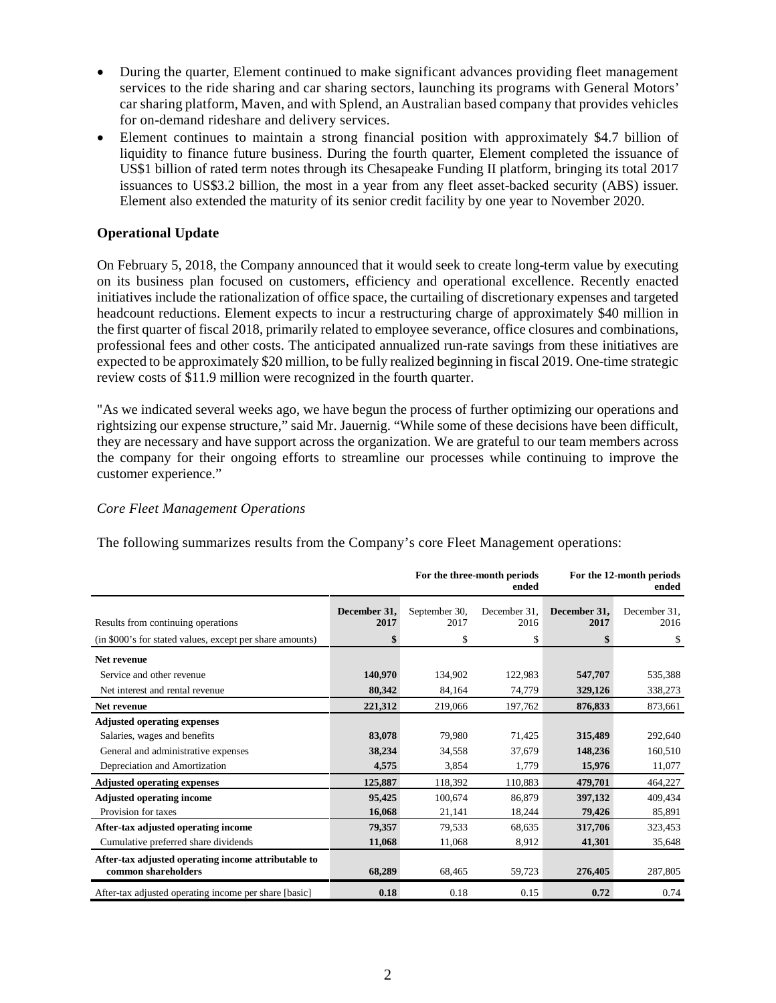- During the quarter, Element continued to make significant advances providing fleet management services to the ride sharing and car sharing sectors, launching its programs with General Motors' car sharing platform, Maven, and with Splend, an Australian based company that provides vehicles for on-demand rideshare and delivery services.
- Element continues to maintain a strong financial position with approximately \$4.7 billion of liquidity to finance future business. During the fourth quarter, Element completed the issuance of US\$1 billion of rated term notes through its Chesapeake Funding II platform, bringing its total 2017 issuances to US\$3.2 billion, the most in a year from any fleet asset-backed security (ABS) issuer. Element also extended the maturity of its senior credit facility by one year to November 2020.

# **Operational Update**

On February 5, 2018, the Company announced that it would seek to create long-term value by executing on its business plan focused on customers, efficiency and operational excellence. Recently enacted initiatives include the rationalization of office space, the curtailing of discretionary expenses and targeted headcount reductions. Element expects to incur a restructuring charge of approximately \$40 million in the first quarter of fiscal 2018, primarily related to employee severance, office closures and combinations, professional fees and other costs. The anticipated annualized run-rate savings from these initiatives are expected to be approximately \$20 million, to be fully realized beginning in fiscal 2019. One-time strategic review costs of \$11.9 million were recognized in the fourth quarter.

"As we indicated several weeks ago, we have begun the process of further optimizing our operations and rightsizing our expense structure," said Mr. Jauernig. "While some of these decisions have been difficult, they are necessary and have support across the organization. We are grateful to our team members across the company for their ongoing efforts to streamline our processes while continuing to improve the customer experience."

# *Core Fleet Management Operations*

The following summarizes results from the Company's core Fleet Management operations:

|                                                                            |                      |                       | For the three-month periods<br>ended |                      | For the 12-month periods<br>ended |
|----------------------------------------------------------------------------|----------------------|-----------------------|--------------------------------------|----------------------|-----------------------------------|
| Results from continuing operations                                         | December 31,<br>2017 | September 30,<br>2017 | December 31.<br>2016                 | December 31,<br>2017 | December 31.<br>2016              |
| (in \$000's for stated values, except per share amounts)                   | \$                   | \$                    | \$                                   |                      | \$                                |
| Net revenue                                                                |                      |                       |                                      |                      |                                   |
| Service and other revenue                                                  | 140,970              | 134,902               | 122,983                              | 547,707              | 535,388                           |
| Net interest and rental revenue                                            | 80,342               | 84,164                | 74,779                               | 329,126              | 338,273                           |
| Net revenue                                                                | 221,312              | 219,066               | 197,762                              | 876,833              | 873,661                           |
| <b>Adjusted operating expenses</b><br>Salaries, wages and benefits         | 83,078               | 79,980                | 71,425                               | 315,489              | 292,640                           |
| General and administrative expenses                                        | 38,234               | 34,558                | 37,679                               | 148,236              | 160,510                           |
| Depreciation and Amortization                                              | 4,575                | 3,854                 | 1,779                                | 15,976               | 11,077                            |
| <b>Adjusted operating expenses</b>                                         | 125,887              | 118,392               | 110,883                              | 479,701              | 464,227                           |
| <b>Adjusted operating income</b><br>Provision for taxes                    | 95,425<br>16,068     | 100,674<br>21,141     | 86,879<br>18,244                     | 397,132<br>79,426    | 409,434<br>85,891                 |
| After-tax adjusted operating income                                        | 79,357               | 79,533                | 68,635                               | 317,706              | 323,453                           |
| Cumulative preferred share dividends                                       | 11,068               | 11,068                | 8,912                                | 41,301               | 35,648                            |
| After-tax adjusted operating income attributable to<br>common shareholders | 68,289               | 68,465                | 59,723                               | 276,405              | 287,805                           |
| After-tax adjusted operating income per share [basic]                      | 0.18                 | 0.18                  | 0.15                                 | 0.72                 | 0.74                              |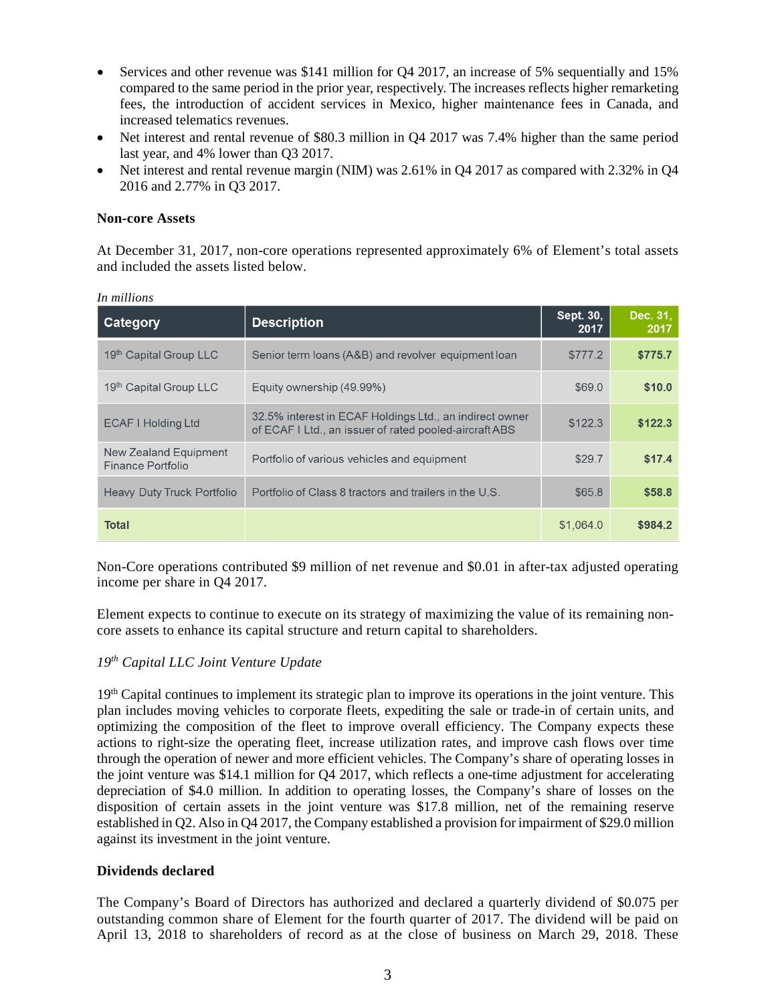- Services and other revenue was \$141 million for Q4 2017, an increase of 5% sequentially and 15% compared to the same period in the prior year, respectively. The increases reflects higher remarketing fees, the introduction of accident services in Mexico, higher maintenance fees in Canada, and increased telematics revenues.
- Net interest and rental revenue of \$80.3 million in O4 2017 was 7.4% higher than the same period last year, and 4% lower than Q3 2017.
- Net interest and rental revenue margin (NIM) was 2.61% in Q4 2017 as compared with 2.32% in Q4 2016 and 2.77% in Q3 2017.

# **Non-core Assets**

At December 31, 2017, non-core operations represented approximately 6% of Element's total assets and included the assets listed below.

| Category                                   | <b>Description</b>                                                                                                | Sept. 30,<br>2017 | Dec. 31.<br>2017 |
|--------------------------------------------|-------------------------------------------------------------------------------------------------------------------|-------------------|------------------|
| 19th Capital Group LLC                     | Senior term loans (A&B) and revolver equipment loan                                                               | \$777.2           | \$775.7          |
| 19th Capital Group LLC                     | Equity ownership (49.99%)                                                                                         | \$69.0            | \$10.0           |
| <b>ECAF I Holding Ltd</b>                  | 32.5% interest in ECAF Holdings Ltd., an indirect owner<br>of ECAF I Ltd., an issuer of rated pooled-aircraft ABS | \$122.3           | \$122.3          |
| New Zealand Equipment<br>Finance Portfolio | Portfolio of various vehicles and equipment                                                                       | \$29.7            | \$17.4           |
| Heavy Duty Truck Portfolio                 | Portfolio of Class 8 tractors and trailers in the U.S.                                                            | \$65.8            | \$58.8           |
| Total                                      |                                                                                                                   | \$1,064.0         | \$984.2          |

*In millions*

Non-Core operations contributed \$9 million of net revenue and \$0.01 in after-tax adjusted operating income per share in Q4 2017.

Element expects to continue to execute on its strategy of maximizing the value of its remaining noncore assets to enhance its capital structure and return capital to shareholders.

# *19th Capital LLC Joint Venture Update*

19<sup>th</sup> Capital continues to implement its strategic plan to improve its operations in the joint venture. This plan includes moving vehicles to corporate fleets, expediting the sale or trade-in of certain units, and optimizing the composition of the fleet to improve overall efficiency. The Company expects these actions to right-size the operating fleet, increase utilization rates, and improve cash flows over time through the operation of newer and more efficient vehicles. The Company's share of operating losses in the joint venture was \$14.1 million for Q4 2017, which reflects a one-time adjustment for accelerating depreciation of \$4.0 million. In addition to operating losses, the Company's share of losses on the disposition of certain assets in the joint venture was \$17.8 million, net of the remaining reserve established in Q2. Also in Q4 2017, the Company established a provision for impairment of \$29.0 million against its investment in the joint venture.

# **Dividends declared**

The Company's Board of Directors has authorized and declared a quarterly dividend of \$0.075 per outstanding common share of Element for the fourth quarter of 2017. The dividend will be paid on April 13, 2018 to shareholders of record as at the close of business on March 29, 2018. These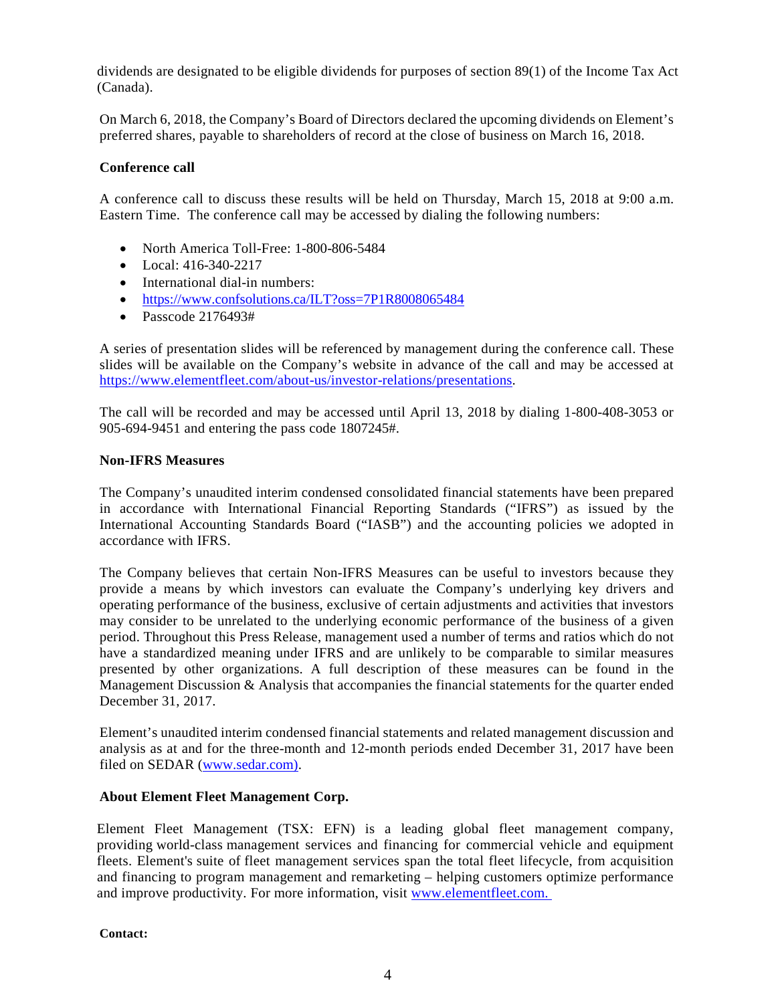dividends are designated to be eligible dividends for purposes of section 89(1) of the Income Tax Act (Canada).

On March 6, 2018, the Company's Board of Directors declared the upcoming dividends on Element's preferred shares, payable to shareholders of record at the close of business on March 16, 2018.

# **Conference call**

A conference call to discuss these results will be held on Thursday, March 15, 2018 at 9:00 a.m. Eastern Time. The conference call may be accessed by dialing the following numbers:

- North America Toll-Free: 1-800-806-5484
- Local:  $416-340-2217$
- International dial-in numbers:
- <https://www.confsolutions.ca/ILT?oss=7P1R8008065484>
- Passcode 2176493#

A series of presentation slides will be referenced by management during the conference call. These slides will be available on the Company's website in advance of the call and may be accessed at [https://www.elementfleet.com/about-us/investor-relations/presentations.](https://www.elementfleet.com/about-us/investor-relations/presentations)

The call will be recorded and may be accessed until April 13, 2018 by dialing 1-800-408-3053 or 905-694-9451 and entering the pass code 1807245#.

#### **Non-IFRS Measures**

The Company's unaudited interim condensed consolidated financial statements have been prepared in accordance with International Financial Reporting Standards ("IFRS") as issued by the International Accounting Standards Board ("IASB") and the accounting policies we adopted in accordance with IFRS.

The Company believes that certain Non-IFRS Measures can be useful to investors because they provide a means by which investors can evaluate the Company's underlying key drivers and operating performance of the business, exclusive of certain adjustments and activities that investors may consider to be unrelated to the underlying economic performance of the business of a given period. Throughout this Press Release, management used a number of terms and ratios which do not have a standardized meaning under IFRS and are unlikely to be comparable to similar measures presented by other organizations. A full description of these measures can be found in the Management Discussion & Analysis that accompanies the financial statements for the quarter ended December 31, 2017.

Element's unaudited interim condensed financial statements and related management discussion and analysis as at and for the three-month and 12-month periods ended December 31, 2017 have been filed on SEDAR [\(www.sedar.com\).](http://www.sedar.com)/)

# **About Element Fleet Management Corp.**

Element Fleet Management (TSX: EFN) is a leading global fleet management company, providing world-class management services and financing for commercial vehicle and equipment fleets. Element's suite of fleet management services span the total fleet lifecycle, from acquisition and financing to program management and remarketing – helping customers optimize performance and improve productivity. For more information, visit www.elementfleet.com.

**Contact:**